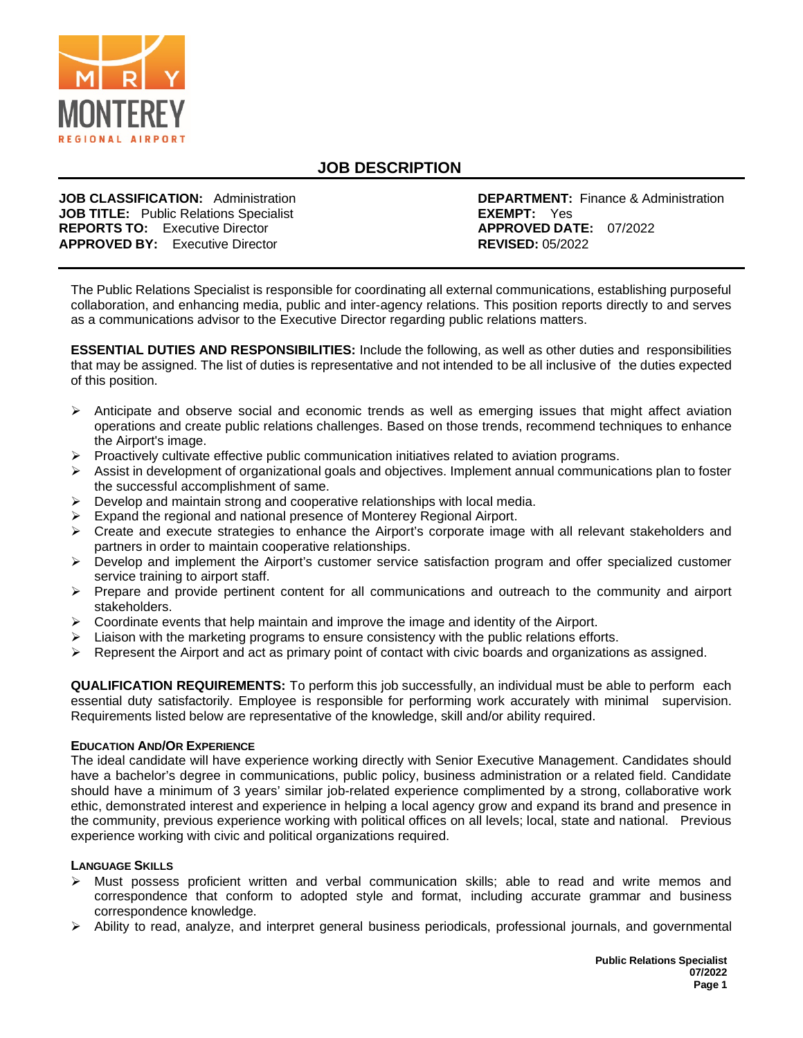

# **JOB DESCRIPTION**

**JOB TITLE:** Public Relations Specialist **EXEMPT:** Yes **EXEMPT:** Yes **REPORTS TO:** Executive Director **REPORTS TO:** Executive Director **APPROVED DATE:**<br> **APPROVED BY:** Executive Director **APPROVED**: 05/2022 **APPROVED BY: Executive Director** 

**JOB CLASSIFICATION:** Administration **DEPARTMENT:** Finance & Administration **JOB TITLE:** Public Relations Specialist

The Public Relations Specialist is responsible for coordinating all external communications, establishing purposeful collaboration, and enhancing media, public and inter-agency relations. This position reports directly to and serves as a communications advisor to the Executive Director regarding public relations matters.

**ESSENTIAL DUTIES AND RESPONSIBILITIES:** Include the following, as well as other duties and responsibilities that may be assigned. The list of duties is representative and not intended to be all inclusive of the duties expected of this position.

- $\triangleright$  Anticipate and observe social and economic trends as well as emerging issues that might affect aviation operations and create public relations challenges. Based on those trends, recommend techniques to enhance the Airport's image.
- $\triangleright$  Proactively cultivate effective public communication initiatives related to aviation programs.
- $\triangleright$  Assist in development of organizational goals and objectives. Implement annual communications plan to foster the successful accomplishment of same.
- $\triangleright$  Develop and maintain strong and cooperative relationships with local media.
- $\triangleright$  Expand the regional and national presence of Monterey Regional Airport.
- $\triangleright$  Create and execute strategies to enhance the Airport's corporate image with all relevant stakeholders and partners in order to maintain cooperative relationships.
- $\triangleright$  Develop and implement the Airport's customer service satisfaction program and offer specialized customer service training to airport staff.
- $\triangleright$  Prepare and provide pertinent content for all communications and outreach to the community and airport stakeholders.
- $\triangleright$  Coordinate events that help maintain and improve the image and identity of the Airport.
- $\triangleright$  Liaison with the marketing programs to ensure consistency with the public relations efforts.
- $\triangleright$  Represent the Airport and act as primary point of contact with civic boards and organizations as assigned.

**QUALIFICATION REQUIREMENTS:** To perform this job successfully, an individual must be able to perform each essential duty satisfactorily. Employee is responsible for performing work accurately with minimal supervision. Requirements listed below are representative of the knowledge, skill and/or ability required.

#### **EDUCATION AND/OR EXPERIENCE**

The ideal candidate will have experience working directly with Senior Executive Management. Candidates should have a bachelor's degree in communications, public policy, business administration or a related field. Candidate should have a minimum of 3 years' similar job-related experience complimented by a strong, collaborative work ethic, demonstrated interest and experience in helping a local agency grow and expand its brand and presence in the community, previous experience working with political offices on all levels; local, state and national. Previous experience working with civic and political organizations required.

#### **LANGUAGE SKILLS**

- $\triangleright$  Must possess proficient written and verbal communication skills; able to read and write memos and correspondence that conform to adopted style and format, including accurate grammar and business correspondence knowledge.
- Ability to read, analyze, and interpret general business periodicals, professional journals, and governmental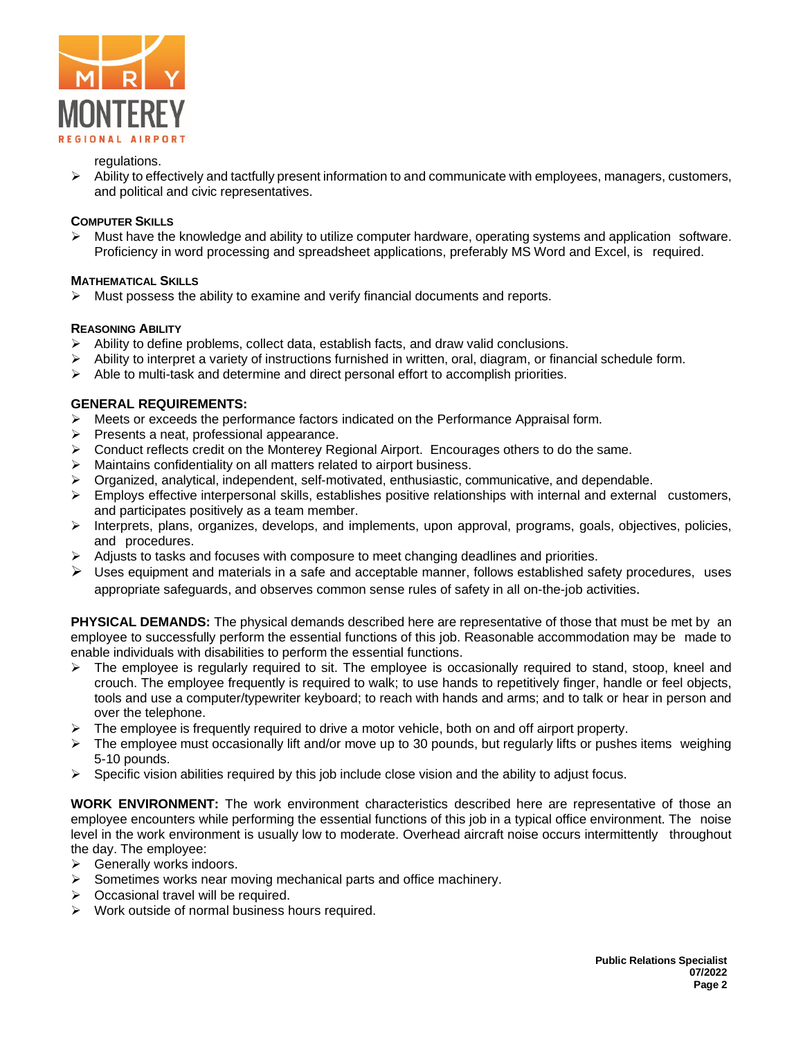

#### regulations.

 $\triangleright$  Ability to effectively and tactfully present information to and communicate with employees, managers, customers, and political and civic representatives.

## **COMPUTER SKILLS**

 $\triangleright$  Must have the knowledge and ability to utilize computer hardware, operating systems and application software. Proficiency in word processing and spreadsheet applications, preferably MS Word and Excel, is required.

## **MATHEMATICAL SKILLS**

 $\triangleright$  Must possess the ability to examine and verify financial documents and reports.

## **REASONING ABILITY**

- $\triangleright$  Ability to define problems, collect data, establish facts, and draw valid conclusions.
- $\triangleright$  Ability to interpret a variety of instructions furnished in written, oral, diagram, or financial schedule form.
- $\triangleright$  Able to multi-task and determine and direct personal effort to accomplish priorities.

# **GENERAL REQUIREMENTS:**

- $\triangleright$  Meets or exceeds the performance factors indicated on the Performance Appraisal form.
- $\triangleright$  Presents a neat, professional appearance.
- Conduct reflects credit on the Monterey Regional Airport. Encourages others to do the same.
- $\triangleright$  Maintains confidentiality on all matters related to airport business.
- $\triangleright$  Organized, analytical, independent, self-motivated, enthusiastic, communicative, and dependable.
- $\triangleright$  Employs effective interpersonal skills, establishes positive relationships with internal and external customers, and participates positively as a team member.
- Interprets, plans, organizes, develops, and implements, upon approval, programs, goals, objectives, policies, and procedures.
- $\triangleright$  Adjusts to tasks and focuses with composure to meet changing deadlines and priorities.
- $\triangleright$  Uses equipment and materials in a safe and acceptable manner, follows established safety procedures, uses appropriate safeguards, and observes common sense rules of safety in all on-the-job activities.

**PHYSICAL DEMANDS:** The physical demands described here are representative of those that must be met by an employee to successfully perform the essential functions of this job. Reasonable accommodation may be made to enable individuals with disabilities to perform the essential functions.

- $\triangleright$  The employee is regularly required to sit. The employee is occasionally required to stand, stoop, kneel and crouch. The employee frequently is required to walk; to use hands to repetitively finger, handle or feel objects, tools and use a computer/typewriter keyboard; to reach with hands and arms; and to talk or hear in person and over the telephone.
- $\triangleright$  The employee is frequently required to drive a motor vehicle, both on and off airport property.
- $\triangleright$  The employee must occasionally lift and/or move up to 30 pounds, but regularly lifts or pushes items weighing 5-10 pounds.
- $\triangleright$  Specific vision abilities required by this job include close vision and the ability to adjust focus.

**WORK ENVIRONMENT:** The work environment characteristics described here are representative of those an employee encounters while performing the essential functions of this job in a typical office environment. The noise level in the work environment is usually low to moderate. Overhead aircraft noise occurs intermittently throughout the day. The employee:

- $\triangleright$  Generally works indoors.
- Sometimes works near moving mechanical parts and office machinery.
- $\triangleright$  Occasional travel will be required.
- $\triangleright$  Work outside of normal business hours required.